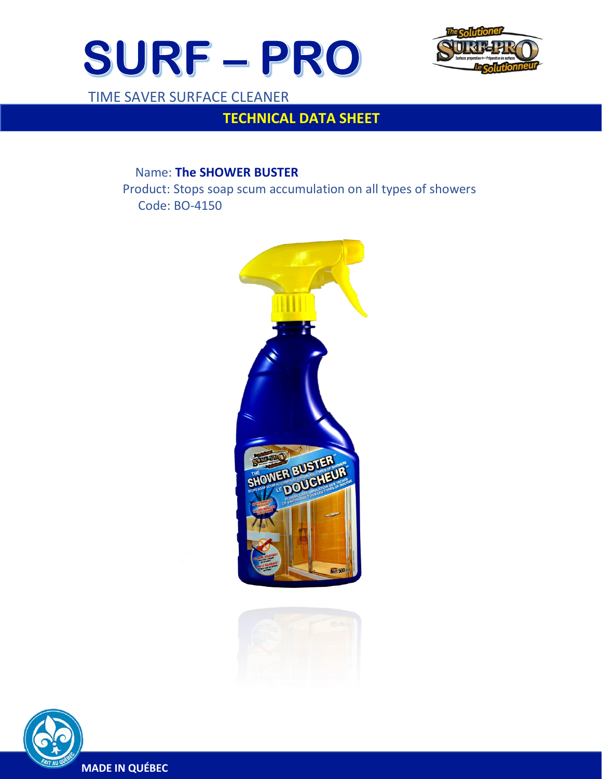



TIME SAVER SURFACE CLEANER

 $\overline{a}$ 

# **TECHNICAL DATA SHEET**

# Name: **The SHOWER BUSTER**

 Product: Stops soap scum accumulation on all types of showers Code: BO-4150